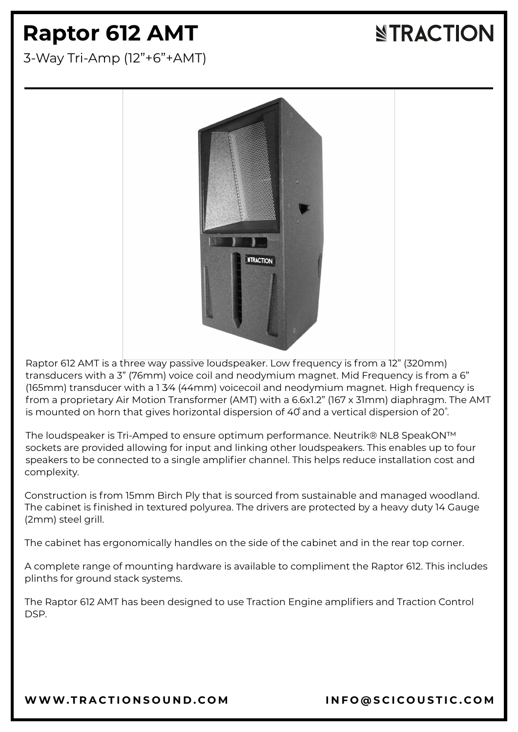## **Raptor 612 AMT**

**NTRACTION** 

3-Way Tri-Amp (12"+6"+AMT)



Raptor 612 AMT is a three way passive loudspeaker. Low frequency is from a 12" (320mm) transducers with a 3" (76mm) voice coil and neodymium magnet. Mid Frequency is from a 6" (165mm) transducer with a 1 3⁄4 (44mm) voicecoil and neodymium magnet. High frequency is from a proprietary Air Motion Transformer (AMT) with a 6.6x1.2" (167 x 31mm) diaphragm. The AMT is mounted on horn that gives horizontal dispersion of 40 and a vertical dispersion of 20°.

The loudspeaker is Tri-Amped to ensure optimum performance. Neutrik® NL8 SpeakON™ sockets are provided allowing for input and linking other loudspeakers. This enables up to four speakers to be connected to a single amplifier channel. This helps reduce installation cost and complexity.

Construction is from 15mm Birch Ply that is sourced from sustainable and managed woodland. The cabinet is finished in textured polyurea. The drivers are protected by a heavy duty 14 Gauge (2mm) steel grill.

The cabinet has ergonomically handles on the side of the cabinet and in the rear top corner.

A complete range of mounting hardware is available to compliment the Raptor 612. This includes plinths for ground stack systems.

The Raptor 612 AMT has been designed to use Traction Engine amplifiers and Traction Control DSP.

[WWW.T](https://www.tractionsound.com/)RACTIONSOUND.COM INFO[@](mailto:info@scicoustic.com)SCICOUSTIC.COM